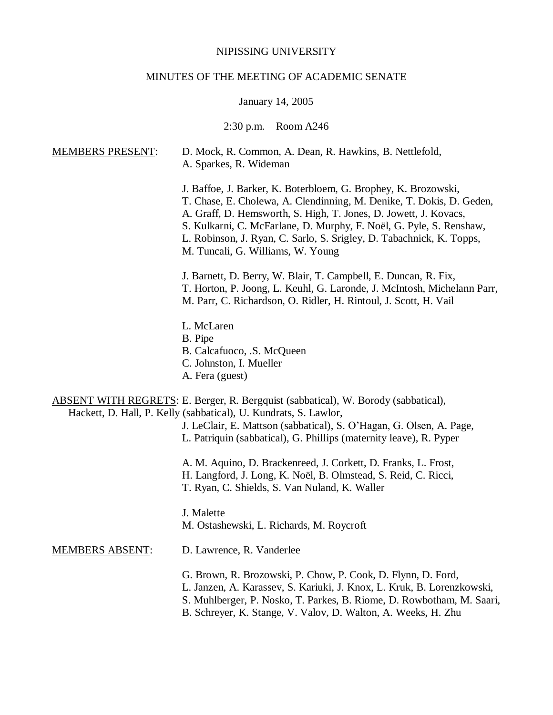## NIPISSING UNIVERSITY

## MINUTES OF THE MEETING OF ACADEMIC SENATE

# January 14, 2005

# 2:30 p.m. – Room A246

| <b>MEMBERS PRESENT:</b> | D. Mock, R. Common, A. Dean, R. Hawkins, B. Nettlefold,<br>A. Sparkes, R. Wideman                                                                                                                                                                                                                                                                                                              |
|-------------------------|------------------------------------------------------------------------------------------------------------------------------------------------------------------------------------------------------------------------------------------------------------------------------------------------------------------------------------------------------------------------------------------------|
|                         | J. Baffoe, J. Barker, K. Boterbloem, G. Brophey, K. Brozowski,<br>T. Chase, E. Cholewa, A. Clendinning, M. Denike, T. Dokis, D. Geden,<br>A. Graff, D. Hemsworth, S. High, T. Jones, D. Jowett, J. Kovacs,<br>S. Kulkarni, C. McFarlane, D. Murphy, F. Noël, G. Pyle, S. Renshaw,<br>L. Robinson, J. Ryan, C. Sarlo, S. Srigley, D. Tabachnick, K. Topps,<br>M. Tuncali, G. Williams, W. Young |
|                         | J. Barnett, D. Berry, W. Blair, T. Campbell, E. Duncan, R. Fix,<br>T. Horton, P. Joong, L. Keuhl, G. Laronde, J. McIntosh, Michelann Parr,<br>M. Parr, C. Richardson, O. Ridler, H. Rintoul, J. Scott, H. Vail                                                                                                                                                                                 |
|                         | L. McLaren                                                                                                                                                                                                                                                                                                                                                                                     |
|                         | B. Pipe                                                                                                                                                                                                                                                                                                                                                                                        |
|                         | B. Calcafuoco, .S. McQueen<br>C. Johnston, I. Mueller                                                                                                                                                                                                                                                                                                                                          |
|                         | A. Fera (guest)                                                                                                                                                                                                                                                                                                                                                                                |
|                         | <b>ABSENT WITH REGRETS:</b> E. Berger, R. Bergquist (sabbatical), W. Borody (sabbatical),<br>Hackett, D. Hall, P. Kelly (sabbatical), U. Kundrats, S. Lawlor,                                                                                                                                                                                                                                  |
|                         | J. LeClair, E. Mattson (sabbatical), S. O'Hagan, G. Olsen, A. Page,<br>L. Patriquin (sabbatical), G. Phillips (maternity leave), R. Pyper                                                                                                                                                                                                                                                      |
|                         | A. M. Aquino, D. Brackenreed, J. Corkett, D. Franks, L. Frost,<br>H. Langford, J. Long, K. Noël, B. Olmstead, S. Reid, C. Ricci,<br>T. Ryan, C. Shields, S. Van Nuland, K. Waller                                                                                                                                                                                                              |
|                         | J. Malette<br>M. Ostashewski, L. Richards, M. Roycroft                                                                                                                                                                                                                                                                                                                                         |
| <b>MEMBERS ABSENT:</b>  | D. Lawrence, R. Vanderlee                                                                                                                                                                                                                                                                                                                                                                      |
|                         | G. Brown, R. Brozowski, P. Chow, P. Cook, D. Flynn, D. Ford,<br>L. Janzen, A. Karassev, S. Kariuki, J. Knox, L. Kruk, B. Lorenzkowski,<br>S. Muhlberger, P. Nosko, T. Parkes, B. Riome, D. Rowbotham, M. Saari,<br>B. Schreyer, K. Stange, V. Valov, D. Walton, A. Weeks, H. Zhu                                                                                                               |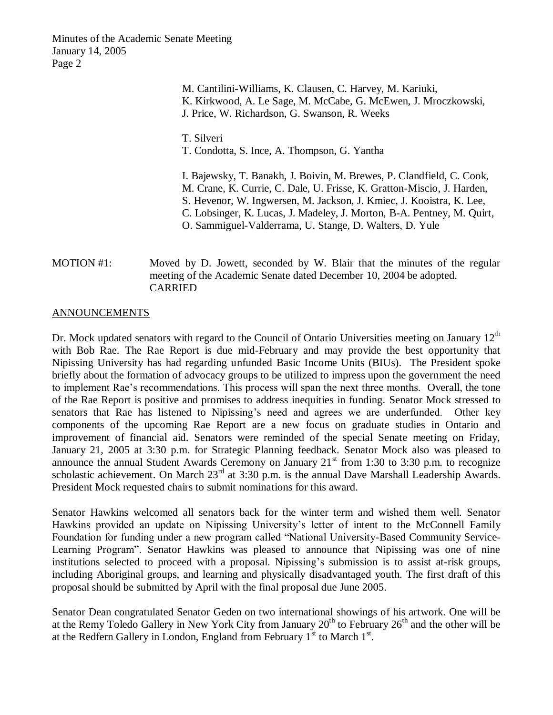> M. Cantilini-Williams, K. Clausen, C. Harvey, M. Kariuki, K. Kirkwood, A. Le Sage, M. McCabe, G. McEwen, J. Mroczkowski, J. Price, W. Richardson, G. Swanson, R. Weeks

T. Silveri T. Condotta, S. Ince, A. Thompson, G. Yantha

I. Bajewsky, T. Banakh, J. Boivin, M. Brewes, P. Clandfield, C. Cook, M. Crane, K. Currie, C. Dale, U. Frisse, K. Gratton-Miscio, J. Harden, S. Hevenor, W. Ingwersen, M. Jackson, J. Kmiec, J. Kooistra, K. Lee, C. Lobsinger, K. Lucas, J. Madeley, J. Morton, B-A. Pentney, M. Quirt, O. Sammiguel-Valderrama, U. Stange, D. Walters, D. Yule

MOTION #1: Moved by D. Jowett, seconded by W. Blair that the minutes of the regular meeting of the Academic Senate dated December 10, 2004 be adopted. CARRIED

#### ANNOUNCEMENTS

Dr. Mock updated senators with regard to the Council of Ontario Universities meeting on January  $12<sup>th</sup>$ with Bob Rae. The Rae Report is due mid-February and may provide the best opportunity that Nipissing University has had regarding unfunded Basic Income Units (BIUs). The President spoke briefly about the formation of advocacy groups to be utilized to impress upon the government the need to implement Rae's recommendations. This process will span the next three months. Overall, the tone of the Rae Report is positive and promises to address inequities in funding. Senator Mock stressed to senators that Rae has listened to Nipissing's need and agrees we are underfunded. Other key components of the upcoming Rae Report are a new focus on graduate studies in Ontario and improvement of financial aid. Senators were reminded of the special Senate meeting on Friday, January 21, 2005 at 3:30 p.m. for Strategic Planning feedback. Senator Mock also was pleased to announce the annual Student Awards Ceremony on January  $21<sup>st</sup>$  from 1:30 to 3:30 p.m. to recognize scholastic achievement. On March 23<sup>rd</sup> at 3:30 p.m. is the annual Dave Marshall Leadership Awards. President Mock requested chairs to submit nominations for this award.

Senator Hawkins welcomed all senators back for the winter term and wished them well. Senator Hawkins provided an update on Nipissing University's letter of intent to the McConnell Family Foundation for funding under a new program called "National University-Based Community Service-Learning Program". Senator Hawkins was pleased to announce that Nipissing was one of nine institutions selected to proceed with a proposal. Nipissing's submission is to assist at-risk groups, including Aboriginal groups, and learning and physically disadvantaged youth. The first draft of this proposal should be submitted by April with the final proposal due June 2005.

Senator Dean congratulated Senator Geden on two international showings of his artwork. One will be at the Remy Toledo Gallery in New York City from January  $20^{th}$  to February  $26^{th}$  and the other will be at the Redfern Gallery in London, England from February  $1<sup>st</sup>$  to March  $1<sup>st</sup>$ .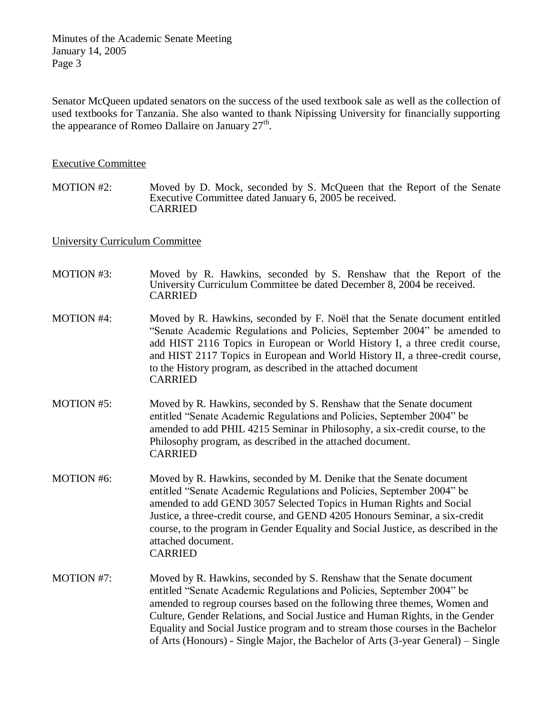Senator McQueen updated senators on the success of the used textbook sale as well as the collection of used textbooks for Tanzania. She also wanted to thank Nipissing University for financially supporting the appearance of Romeo Dallaire on January  $27<sup>th</sup>$ .

#### Executive Committee

MOTION #2: Moved by D. Mock, seconded by S. McQueen that the Report of the Senate Executive Committee dated January 6, 2005 be received. CARRIED

### University Curriculum Committee

| <b>MOTION #3:</b> | Moved by R. Hawkins, seconded by S. Renshaw that the Report of the<br>University Curriculum Committee be dated December 8, 2004 be received.<br><b>CARRIED</b>                                                                                                                                                                                                                                                                                                                      |
|-------------------|-------------------------------------------------------------------------------------------------------------------------------------------------------------------------------------------------------------------------------------------------------------------------------------------------------------------------------------------------------------------------------------------------------------------------------------------------------------------------------------|
| <b>MOTION #4:</b> | Moved by R. Hawkins, seconded by F. Noël that the Senate document entitled<br>"Senate Academic Regulations and Policies, September 2004" be amended to<br>add HIST 2116 Topics in European or World History I, a three credit course,<br>and HIST 2117 Topics in European and World History II, a three-credit course,<br>to the History program, as described in the attached document<br><b>CARRIED</b>                                                                           |
| <b>MOTION #5:</b> | Moved by R. Hawkins, seconded by S. Renshaw that the Senate document<br>entitled "Senate Academic Regulations and Policies, September 2004" be<br>amended to add PHIL 4215 Seminar in Philosophy, a six-credit course, to the<br>Philosophy program, as described in the attached document.<br><b>CARRIED</b>                                                                                                                                                                       |
| <b>MOTION #6:</b> | Moved by R. Hawkins, seconded by M. Denike that the Senate document<br>entitled "Senate Academic Regulations and Policies, September 2004" be<br>amended to add GEND 3057 Selected Topics in Human Rights and Social<br>Justice, a three-credit course, and GEND 4205 Honours Seminar, a six-credit<br>course, to the program in Gender Equality and Social Justice, as described in the<br>attached document.<br><b>CARRIED</b>                                                    |
| <b>MOTION #7:</b> | Moved by R. Hawkins, seconded by S. Renshaw that the Senate document<br>entitled "Senate Academic Regulations and Policies, September 2004" be<br>amended to regroup courses based on the following three themes, Women and<br>Culture, Gender Relations, and Social Justice and Human Rights, in the Gender<br>Equality and Social Justice program and to stream those courses in the Bachelor<br>of Arts (Honours) - Single Major, the Bachelor of Arts (3-year General) – Single |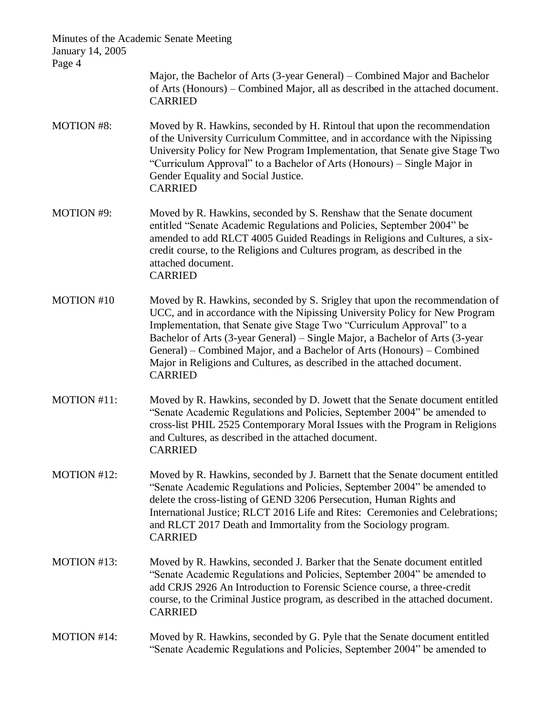| January 14, 2005<br>Page 4 | Minutes of the Academic Senate Meeting                                                                                                                                                                                                                                                                                                                                                                                                                                                     |
|----------------------------|--------------------------------------------------------------------------------------------------------------------------------------------------------------------------------------------------------------------------------------------------------------------------------------------------------------------------------------------------------------------------------------------------------------------------------------------------------------------------------------------|
|                            | Major, the Bachelor of Arts (3-year General) – Combined Major and Bachelor<br>of Arts (Honours) – Combined Major, all as described in the attached document.<br><b>CARRIED</b>                                                                                                                                                                                                                                                                                                             |
| <b>MOTION #8:</b>          | Moved by R. Hawkins, seconded by H. Rintoul that upon the recommendation<br>of the University Curriculum Committee, and in accordance with the Nipissing<br>University Policy for New Program Implementation, that Senate give Stage Two<br>"Curriculum Approval" to a Bachelor of Arts (Honours) - Single Major in<br>Gender Equality and Social Justice.<br><b>CARRIED</b>                                                                                                               |
| <b>MOTION #9:</b>          | Moved by R. Hawkins, seconded by S. Renshaw that the Senate document<br>entitled "Senate Academic Regulations and Policies, September 2004" be<br>amended to add RLCT 4005 Guided Readings in Religions and Cultures, a six-<br>credit course, to the Religions and Cultures program, as described in the<br>attached document.<br><b>CARRIED</b>                                                                                                                                          |
| <b>MOTION #10</b>          | Moved by R. Hawkins, seconded by S. Srigley that upon the recommendation of<br>UCC, and in accordance with the Nipissing University Policy for New Program<br>Implementation, that Senate give Stage Two "Curriculum Approval" to a<br>Bachelor of Arts (3-year General) – Single Major, a Bachelor of Arts (3-year<br>General) – Combined Major, and a Bachelor of Arts (Honours) – Combined<br>Major in Religions and Cultures, as described in the attached document.<br><b>CARRIED</b> |
| MOTION #11:                | Moved by R. Hawkins, seconded by D. Jowett that the Senate document entitled<br>"Senate Academic Regulations and Policies, September 2004" be amended to<br>cross-list PHIL 2525 Contemporary Moral Issues with the Program in Religions<br>and Cultures, as described in the attached document.<br><b>CARRIED</b>                                                                                                                                                                         |
| MOTION #12:                | Moved by R. Hawkins, seconded by J. Barnett that the Senate document entitled<br>"Senate Academic Regulations and Policies, September 2004" be amended to<br>delete the cross-listing of GEND 3206 Persecution, Human Rights and<br>International Justice; RLCT 2016 Life and Rites: Ceremonies and Celebrations;<br>and RLCT 2017 Death and Immortality from the Sociology program.<br><b>CARRIED</b>                                                                                     |
| MOTION #13:                | Moved by R. Hawkins, seconded J. Barker that the Senate document entitled<br>"Senate Academic Regulations and Policies, September 2004" be amended to<br>add CRJS 2926 An Introduction to Forensic Science course, a three-credit<br>course, to the Criminal Justice program, as described in the attached document.<br><b>CARRIED</b>                                                                                                                                                     |
| MOTION #14:                | Moved by R. Hawkins, seconded by G. Pyle that the Senate document entitled<br>"Senate Academic Regulations and Policies, September 2004" be amended to                                                                                                                                                                                                                                                                                                                                     |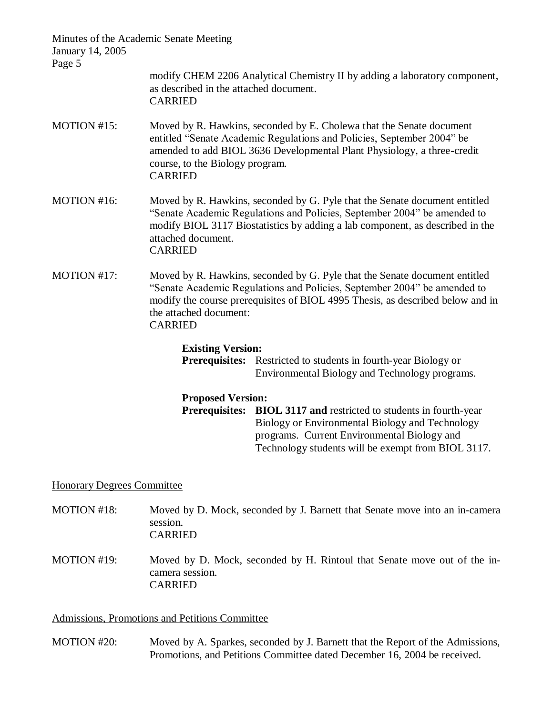| Minutes of the Academic Senate Meeting<br>January 14, 2005<br>Page 5 |                                                          |                                                                                                                                                                                                                                          |
|----------------------------------------------------------------------|----------------------------------------------------------|------------------------------------------------------------------------------------------------------------------------------------------------------------------------------------------------------------------------------------------|
|                                                                      | as described in the attached document.<br><b>CARRIED</b> | modify CHEM 2206 Analytical Chemistry II by adding a laboratory component,                                                                                                                                                               |
| MOTION #15:                                                          | course, to the Biology program.<br><b>CARRIED</b>        | Moved by R. Hawkins, seconded by E. Cholewa that the Senate document<br>entitled "Senate Academic Regulations and Policies, September 2004" be<br>amended to add BIOL 3636 Developmental Plant Physiology, a three-credit                |
| MOTION #16:                                                          | attached document.<br><b>CARRIED</b>                     | Moved by R. Hawkins, seconded by G. Pyle that the Senate document entitled<br>"Senate Academic Regulations and Policies, September 2004" be amended to<br>modify BIOL 3117 Biostatistics by adding a lab component, as described in the  |
| MOTION #17:                                                          | the attached document:<br><b>CARRIED</b>                 | Moved by R. Hawkins, seconded by G. Pyle that the Senate document entitled<br>"Senate Academic Regulations and Policies, September 2004" be amended to<br>modify the course prerequisites of BIOL 4995 Thesis, as described below and in |
|                                                                      | <b>Existing Version:</b>                                 | <b>Prerequisites:</b> Restricted to students in fourth-year Biology or<br>Environmental Biology and Technology programs.                                                                                                                 |
|                                                                      | <b>Proposed Version:</b><br><b>Prerequisites:</b>        | <b>BIOL 3117 and restricted to students in fourth-year</b><br>Biology or Environmental Biology and Technology<br>programs. Current Environmental Biology and                                                                             |

#### Honorary Degrees Committee

MOTION #18: Moved by D. Mock, seconded by J. Barnett that Senate move into an in-camera session. CARRIED

Technology students will be exempt from BIOL 3117.

MOTION #19: Moved by D. Mock, seconded by H. Rintoul that Senate move out of the incamera session. CARRIED

Admissions, Promotions and Petitions Committee

MOTION #20: Moved by A. Sparkes, seconded by J. Barnett that the Report of the Admissions, Promotions, and Petitions Committee dated December 16, 2004 be received.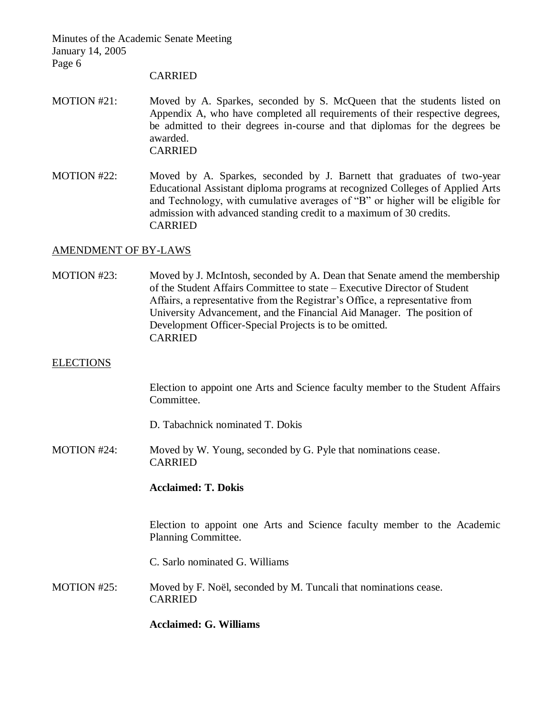#### CARRIED

- MOTION #21: Moved by A. Sparkes, seconded by S. McQueen that the students listed on Appendix A, who have completed all requirements of their respective degrees, be admitted to their degrees in-course and that diplomas for the degrees be awarded. CARRIED
- MOTION #22: Moved by A. Sparkes, seconded by J. Barnett that graduates of two-year Educational Assistant diploma programs at recognized Colleges of Applied Arts and Technology, with cumulative averages of "B" or higher will be eligible for admission with advanced standing credit to a maximum of 30 credits. CARRIED

#### AMENDMENT OF BY-LAWS

MOTION #23: Moved by J. McIntosh, seconded by A. Dean that Senate amend the membership of the Student Affairs Committee to state – Executive Director of Student Affairs, a representative from the Registrar's Office, a representative from University Advancement, and the Financial Aid Manager. The position of Development Officer-Special Projects is to be omitted. CARRIED

#### **ELECTIONS**

Election to appoint one Arts and Science faculty member to the Student Affairs Committee.

D. Tabachnick nominated T. Dokis

MOTION #24: Moved by W. Young, seconded by G. Pyle that nominations cease. CARRIED

#### **Acclaimed: T. Dokis**

Election to appoint one Arts and Science faculty member to the Academic Planning Committee.

C. Sarlo nominated G. Williams

MOTION #25: Moved by F. Noël, seconded by M. Tuncali that nominations cease. CARRIED

**Acclaimed: G. Williams**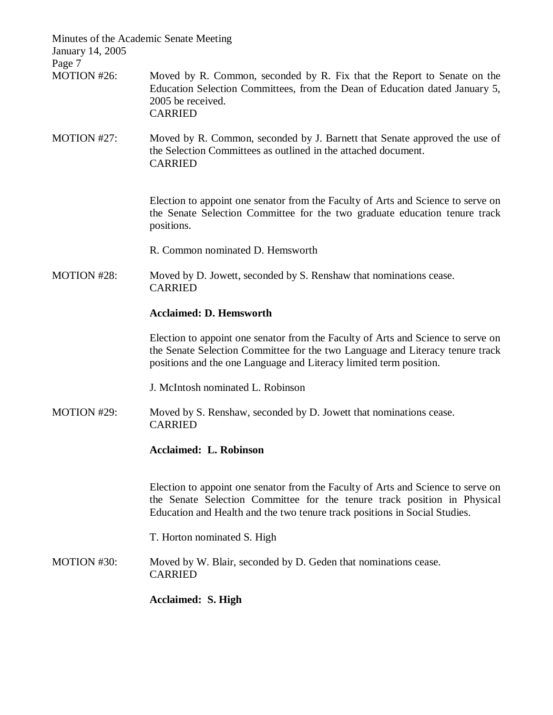| Minutes of the Academic Senate Meeting<br>January 14, 2005<br>Page 7 |                                                                                                                                                                                                                                            |
|----------------------------------------------------------------------|--------------------------------------------------------------------------------------------------------------------------------------------------------------------------------------------------------------------------------------------|
| MOTION #26:                                                          | Moved by R. Common, seconded by R. Fix that the Report to Senate on the<br>Education Selection Committees, from the Dean of Education dated January 5,<br>2005 be received.<br><b>CARRIED</b>                                              |
| MOTION #27:                                                          | Moved by R. Common, seconded by J. Barnett that Senate approved the use of<br>the Selection Committees as outlined in the attached document.<br><b>CARRIED</b>                                                                             |
|                                                                      | Election to appoint one senator from the Faculty of Arts and Science to serve on<br>the Senate Selection Committee for the two graduate education tenure track<br>positions.                                                               |
|                                                                      | R. Common nominated D. Hemsworth                                                                                                                                                                                                           |
| MOTION #28:                                                          | Moved by D. Jowett, seconded by S. Renshaw that nominations cease.<br><b>CARRIED</b>                                                                                                                                                       |
|                                                                      | <b>Acclaimed: D. Hemsworth</b>                                                                                                                                                                                                             |
|                                                                      | Election to appoint one senator from the Faculty of Arts and Science to serve on<br>the Senate Selection Committee for the two Language and Literacy tenure track<br>positions and the one Language and Literacy limited term position.    |
|                                                                      | J. McIntosh nominated L. Robinson                                                                                                                                                                                                          |
| MOTION #29:                                                          | Moved by S. Renshaw, seconded by D. Jowett that nominations cease.<br><b>CARRIED</b>                                                                                                                                                       |
|                                                                      | <b>Acclaimed: L. Robinson</b>                                                                                                                                                                                                              |
|                                                                      | Election to appoint one senator from the Faculty of Arts and Science to serve on<br>the Senate Selection Committee for the tenure track position in Physical<br>Education and Health and the two tenure track positions in Social Studies. |
|                                                                      | T. Horton nominated S. High                                                                                                                                                                                                                |
| MOTION #30:                                                          | Moved by W. Blair, seconded by D. Geden that nominations cease.<br><b>CARRIED</b>                                                                                                                                                          |
|                                                                      | <b>Acclaimed: S. High</b>                                                                                                                                                                                                                  |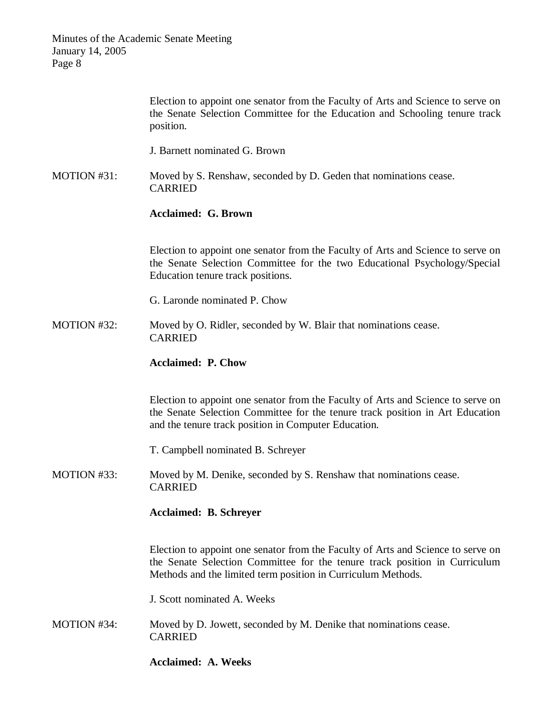|             | Election to appoint one senator from the Faculty of Arts and Science to serve on<br>the Senate Selection Committee for the Education and Schooling tenure track<br>position.                                                   |
|-------------|--------------------------------------------------------------------------------------------------------------------------------------------------------------------------------------------------------------------------------|
|             | J. Barnett nominated G. Brown                                                                                                                                                                                                  |
| MOTION #31: | Moved by S. Renshaw, seconded by D. Geden that nominations cease.<br><b>CARRIED</b>                                                                                                                                            |
|             | <b>Acclaimed: G. Brown</b>                                                                                                                                                                                                     |
|             | Election to appoint one senator from the Faculty of Arts and Science to serve on<br>the Senate Selection Committee for the two Educational Psychology/Special<br>Education tenure track positions.                             |
|             | G. Laronde nominated P. Chow                                                                                                                                                                                                   |
| MOTION #32: | Moved by O. Ridler, seconded by W. Blair that nominations cease.<br><b>CARRIED</b>                                                                                                                                             |
|             | <b>Acclaimed: P. Chow</b>                                                                                                                                                                                                      |
|             | Election to appoint one senator from the Faculty of Arts and Science to serve on<br>the Senate Selection Committee for the tenure track position in Art Education<br>and the tenure track position in Computer Education.      |
|             | T. Campbell nominated B. Schreyer                                                                                                                                                                                              |
| MOTION #33: | Moved by M. Denike, seconded by S. Renshaw that nominations cease.<br><b>CARRIED</b>                                                                                                                                           |
|             | <b>Acclaimed: B. Schreyer</b>                                                                                                                                                                                                  |
|             | Election to appoint one senator from the Faculty of Arts and Science to serve on<br>the Senate Selection Committee for the tenure track position in Curriculum<br>Methods and the limited term position in Curriculum Methods. |
|             | J. Scott nominated A. Weeks                                                                                                                                                                                                    |
| MOTION #34: | Moved by D. Jowett, seconded by M. Denike that nominations cease.<br><b>CARRIED</b>                                                                                                                                            |
|             | <b>Acclaimed: A. Weeks</b>                                                                                                                                                                                                     |